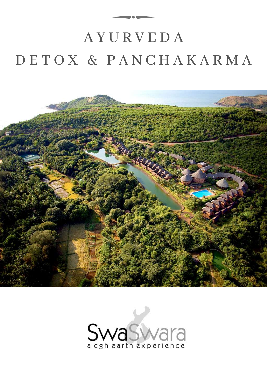# A Y U R V E D A D E T O X & P A N C H A K A R M A



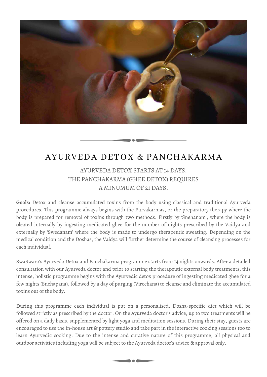

## AYURVEDA DETOX & PANCHAKARMA

## AYURVEDA DETOX STARTS AT 14 DAYS. THE PANCHAKARMA (GHEE DETOX) REQUIRES A MINUMUM OF 21 DAYS.

**Goals:** Detox and cleanse accumulated toxins from the body using classical and traditional Ayurveda procedures. This programme always begins with the Purvakarmas, or the preparatory therapy where the body is prepared for removal of toxins through two methods. Firstly by 'Snehanam', where the body is oleated internally by ingesting medicated ghee for the number of nights prescribed by the Vaidya and externally by 'Swedanam' where the body is made to undergo therapeutic sweating. Depending on the medical condition and the Doshas, the Vaidya will further determine the course of cleansing processes for each individual.

SwaSwara's Ayurveda Detox and Panchakarma programme starts from 14 nights onwards. After a detailed consultation with our Ayurveda doctor and prior to starting the therapeutic external body treatments, this intense, holistic programme begins with the Ayurvedic detox procedure of ingesting medicated ghee for a few nights (Snehapana), followed by a day of purging (Virechana) to cleanse and eliminate the accumulated toxins out of the body.

During this programme each individual is put on a personalised, Dosha-specific diet which will be followed strictly as prescribed by the doctor. On the Ayurveda doctor's advice, up to two treatments will be offered on a daily basis, supplemented by light yoga and meditation sessions. During their stay, guests are encouraged to use the in-house art & pottery studio and take part in the interactive cooking sessions too to learn Ayurvedic cooking. Due to the intense and curative nature of this programme, all physical and outdoor activities including yoga will be subject to the Ayurveda doctor's advice & approval only.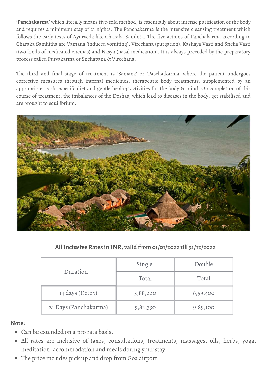**'Panchakarma'** which literally means five-fold method, is essentially about intense purification of the body and requires a minimum stay of 21 nights. The Panchakarma is the intensive cleansing treatment which follows the early texts of Ayurveda like Charaka Samhita. The five actions of Panchakarma according to Charaka Samhitha are Vamana (induced vomiting), Virechana (purgation), Kashaya Vasti and Sneha Vasti (two kinds of medicated enemas) and Nasya (nasal medication). It is always preceded by the preparatory process called Purvakarma or Snehapana & Virechana.

The third and final stage of treatment is 'Samana' or 'Paschatkarma' where the patient undergoes corrective measures through internal medicines, therapeutic body treatments, supplemented by an appropriate Dosha-specifc diet and gentle healing activities for the body & mind. On completion of this course of treatment, the imbalances of the Doshas, which lead to diseases in the body, get stabilised and are brought to equilibrium.



**AllInclusive Rates in INR, valid from 01/01/2022 till 31/12/2022**

| Duration              | Single   | Double   |
|-----------------------|----------|----------|
|                       | Total    | Total    |
| 14 days (Detox)       | 3,88,220 | 6,59,400 |
| 21 Days (Panchakarma) | 5,82,330 | 9,89,100 |

## **Note:**

- Can be extended on a pro rata basis.
- All rates are inclusive of taxes, consultations, treatments, massages, oils, herbs, yoga, meditation, accommodation and meals during your stay.
- The price includes pick up and drop from Goa airport.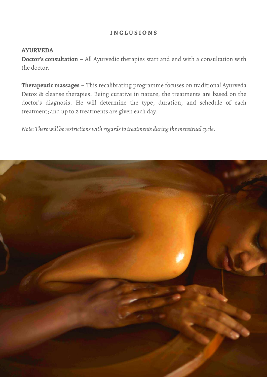## **I N C L U S I O N S**

### **AYURVEDA**

**Doctor's consultation** – All Ayurvedic therapies start and end with a consultation with the doctor.

**Therapeutic massages** – This recalibrating programme focuses on traditional Ayurveda Detox & cleanse therapies. Being curative in nature, the treatments are based on the doctor's diagnosis. He will determine the type, duration, and schedule of each treatment; and up to 2 treatments are given each day.

*Note: There will be restrictions with regards to treatments during the menstrual cycle.* 

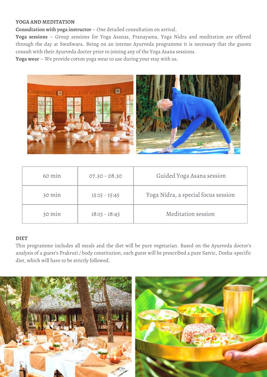#### **YOGA AND MEDITATION**

**Consultation with yoga instructor** – One detailed consultation on arrival.

**Yoga sessions** – Group sessions for Yoga Asanas, Pranayama, Yoga Nidra and meditation are offered through the day at SwaSwara. Being on an intense Ayurveda programme it is necessary that the guests consult with their Ayurveda doctor prior to joining any of the Yoga Asana sessions.

**Yoga wear** – We provide cotton yoga wear to use during your stay with us.



| 60 min | $07.30 - 08.30$ | Guided Yoga Asana session           |
|--------|-----------------|-------------------------------------|
| 30 min | $15:15 - 15:45$ | Yoga Nidra, a special focus session |
| 30 min | $18:15 - 18:45$ | Meditation session                  |

#### **DIET**

This programme includes all meals and the diet will be pure vegetarian. Based on the Ayurveda doctor's analysis of a guest's Prakruti / body constitution, each guest will be prescribed a pure Satvic, Dosha-specific diet, which will have to be strictly followed.

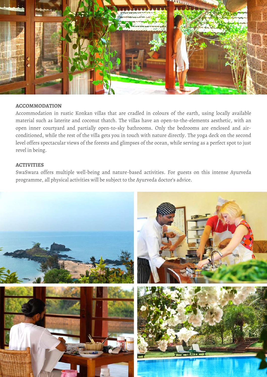

#### **ACCOMMODATION**

Accommodation in rustic Konkan villas that are cradled in colours of the earth, using locally available material such as laterite and coconut thatch. The villas have an open-to-the-elements aesthetic, with an open inner courtyard and partially open-to-sky bathrooms. Only the bedrooms are enclosed and airconditioned, while the rest of the villa gets you in touch with nature directly. The yoga deck on the second level offers spectacular views of the forests and glimpses of the ocean, while serving as a perfect spot to just revel in being.

#### **ACTIVITIES**

SwaSwara offers multiple well-being and nature-based activities. For guests on this intense Ayurveda programme, all physical activities will be subject to the Ayurveda doctor's advice.

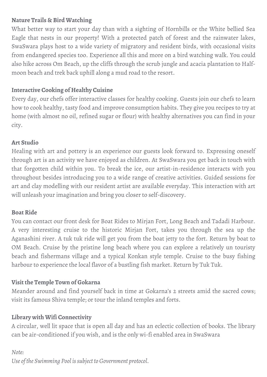## **Nature Trails & Bird Watching**

What better way to start your day than with a sighting of Hornbills or the White bellied Sea Eagle that nests in our property! With a protected patch of forest and the rainwater lakes, SwaSwara plays host to a wide variety of migratory and resident birds, with occasional visits from endangered species too. Experience all this and more on a bird watching walk. You could also hike across Om Beach, up the cliffs through the scrub jungle and acacia plantation to Halfmoon beach and trek back uphill along a mud road to the resort.

## **Interactive Cooking of Healthy Cuisine**

Every day, our chefs offer interactive classes for healthy cooking. Guests join our chefs to learn how to cook healthy, tasty food and improve consumption habits. They give you recipes to try at home (with almost no oil, refined sugar or flour) with healthy alternatives you can find in your city.

## **Art Studio**

Healing with art and pottery is an experience our guests look forward to. Expressing oneself through art is an activity we have enjoyed as children. At SwaSwara you get back in touch with that forgotten child within you. To break the ice, our artist-in-residence interacts with you throughout besides introducing you to a wide range of creative activities. Guided sessions for art and clay modelling with our resident artist are available everyday. This interaction with art will unleash your imagination and bring you closer to self-discovery.

## **Boat Ride**

You can contact our front desk for Boat Rides to Mirjan Fort, Long Beach and Tadadi Harbour. A very interesting cruise to the historic Mirjan Fort, takes you through the sea up the Aganashini river. A tuk tuk ride will get you from the boat jetty to the fort. Return by boat to OM Beach. Cruise by the pristine long beach where you can explore a relatively un touristy beach and fishermans village and a typical Konkan style temple. Cruise to the busy fishing harbour to experience the local flavor of a bustling fish market. Return by Tuk Tuk.

## **Visit the Temple Town of Gokarna**

Meander around and find yourself back in time at Gokarna's 2 streets amid the sacred cows; visit its famous Shiva temple; or tour the inland temples and forts.

## **Library with Wifi Connectivity**

A circular, well lit space that is open all day and has an eclectic collection of books. The library can be air-conditioned if you wish, and is the only wi-fi enabled area in SwaSwara

## *Note:*

*Use of the Swimming Pool issubject to Government protocol.*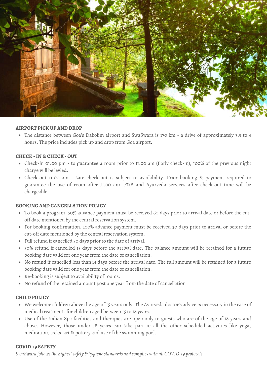

#### **AIRPORT PICK UP AND DROP**

The distance between Goa's Dabolim airport and SwaSwara is 170 km - a drive of approximately 3.5 to 4 hours. The price includes pick up and drop from Goa airport.

#### **CHECK -IN & CHECK - OUT**

- Check-in 01.00 pm to guarantee a room prior to 11.00 am (Early check-in), 100% of the previous night charge will be levied.
- Check-out 11.00 am Late check-out is subject to availability. Prior booking & payment required to guarantee the use of room after 11.00 am. F&B and Ayurveda services after check-out time will be chargeable.

#### **BOOKING AND CANCELLATION POLICY**

- To book a program, 50% advance payment must be received 60 days prior to arrival date or before the cutoff date mentioned by the central reservation system.
- For booking confirmation, 100% advance payment must be received 30 days prior to arrival or before the cut-off date mentioned by the central reservation system.
- Full refund if cancelled 30 days prior to the date of arrival.
- 50% refund if cancelled 15 days before the arrival date. The balance amount will be retained for a future booking date valid for one year from the date of cancellation.
- No refund if cancelled less than 14 days before the arrival date. The full amount will be retained for a future booking date valid for one year from the date of cancellation.
- Re-booking is subject to availability of rooms.
- No refund of the retained amount post one year from the date of cancellation

#### **CHILD POLICY**

- We welcome children above the age of 15 years only. The Ayurveda doctor's advice is necessary in the case of medical treatments for children aged between 15 to 18 years.
- Use of the Indian Spa facilities and therapies are open only to guests who are of the age of 18 years and above. However, those under 18 years can take part in all the other scheduled activities like yoga, meditation, treks, art & pottery and use of the swimming pool.

#### **COVID-19 SAFETY**

*SwaSwara followsthe highestsafety & hygienestandards and complies with all COVID-19 protocols.*